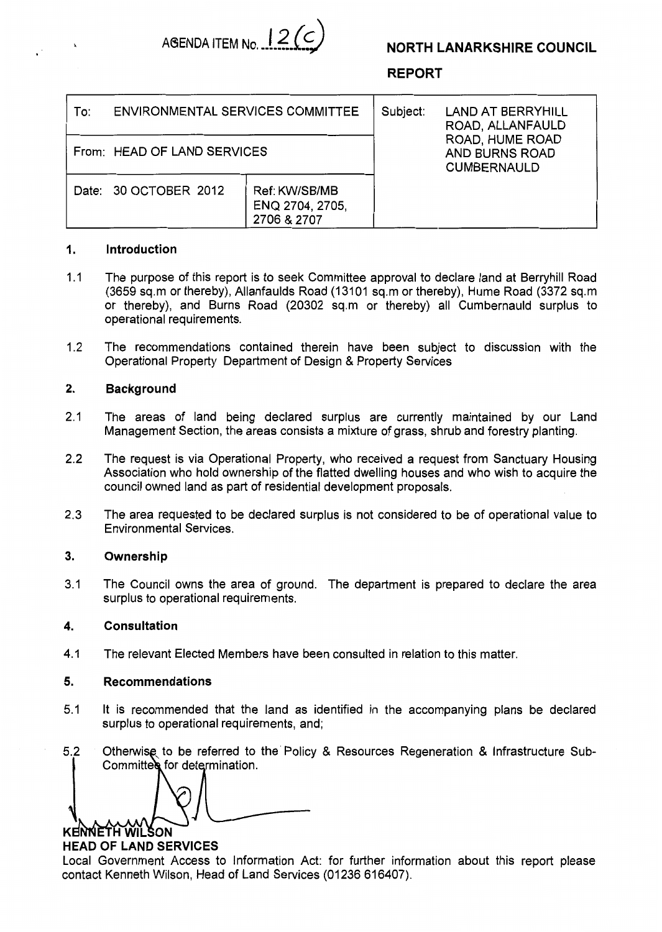



# **REPORT**

| <b>ENVIRONMENTAL SERVICES COMMITTEE</b><br>To: |                                                 | Subject: | <b>LAND AT BERRYHILL</b><br>ROAD, ALLANFAULD<br>ROAD, HUME ROAD<br>AND BURNS ROAD<br><b>CUMBERNAULD</b> |
|------------------------------------------------|-------------------------------------------------|----------|---------------------------------------------------------------------------------------------------------|
| From: HEAD OF LAND SERVICES                    |                                                 |          |                                                                                                         |
| Date: 30 OCTOBER 2012                          | Ref: KW/SB/MB<br>ENQ 2704, 2705,<br>2706 & 2707 |          |                                                                                                         |

# **1. Introduction**

**a** 

- 1.1 The purpose of this report is to seek Committee approval to declare land at Berryhill Road (3659 sq.m or thereby), Allanfaulds Road (13101 sq.m or thereby), Hume Road (3372 sq.m or thereby), and Burns Road (20302 sq.m or thereby) all Cumbernauld surplus to operational requirements.
- 1.2 The recommendations contained therein have been subject to discussion with the Operational Property Department of Design & Property Services

## **2. Background**

- 2.1 The areas of land being declared surplus are currently maintained by our Land Management Section, the areas consists a mixture of grass, shrub and forestry planting.
- 2.2 The request is via Operational Property, who received a request from Sanctuary Housing Association who hold ownership of the flatted dwelling houses and who wish to acquire the council owned land as part of residential development proposals.
- 2.3 The area requested to be declared surplus is not considered to be of operational value to Environmental Services.

#### **3. Ownership**

3.1 The Council owns the area of ground. The department is prepared to declare the area surplus to operational requirements.

## **4. Consultation**

4.1 The relevant Elected Members have been consulted in relation to this matter.

#### **5. Recommendations**

- 5.1 It is recommended that the land as identified in the accompanying plans be declared surplus to operational requirements, and;
- 5.2 Otherwise. to be referred to the Policy & Resources Regeneration & Infrastructure Sub-Committed for determination.

KENNETH WILSON

# **HEAD OF LAND SERVICES**

Local Government Access to Information Act: for further information about this report please contact Kenneth Wilson, Head of Land Services (01236 616407).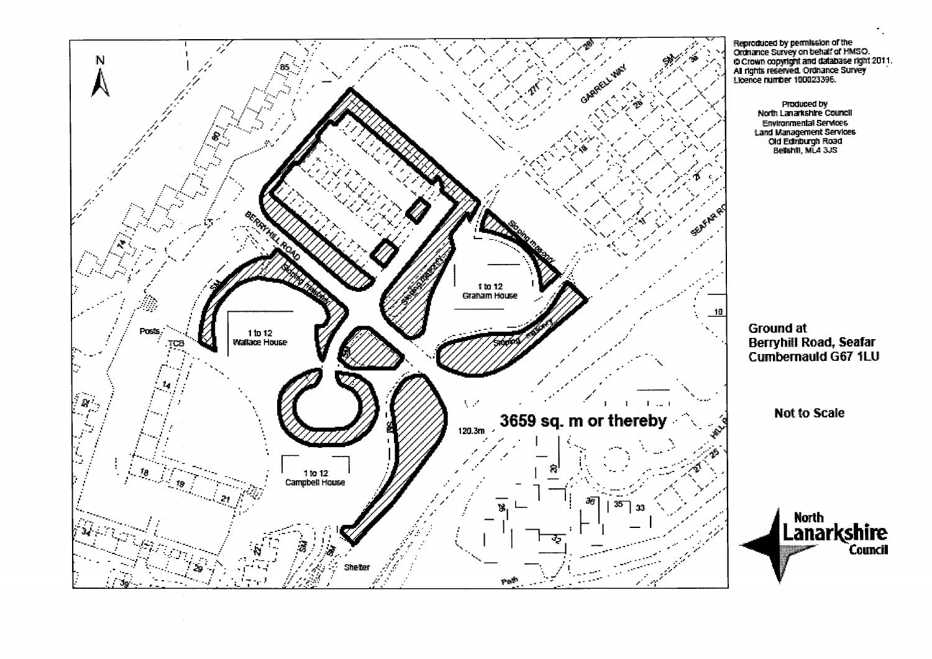

**Ground at Berryhill Road, Seafar** 

**Cumbernauld G67 1LU** 

**Not to Scale** 

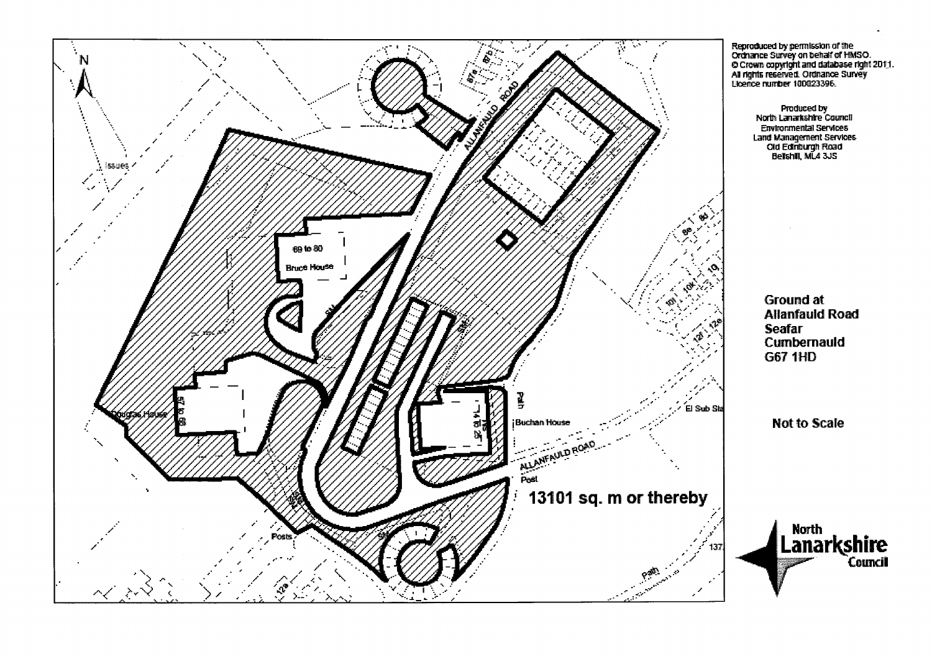

Reproduced by permission of the<br>Ordnance Survey on behalf of HMSO.<br>O Crown copyright and database right 2011.<br>All rights reserved. Ordnance Survey<br>Ucence number 100023396.

Produced by<br>North Lanarkshire Council Environmental Services Land Management Services<br>Cid Edinburgh Road<br>Belishill, ML4 3JS

> **Ground at Allanfauld Road Seafar** Cumbernauld G67 1HD

**Not to Scale** 

North<br>Lanarkshire<br><sub>Council</sub>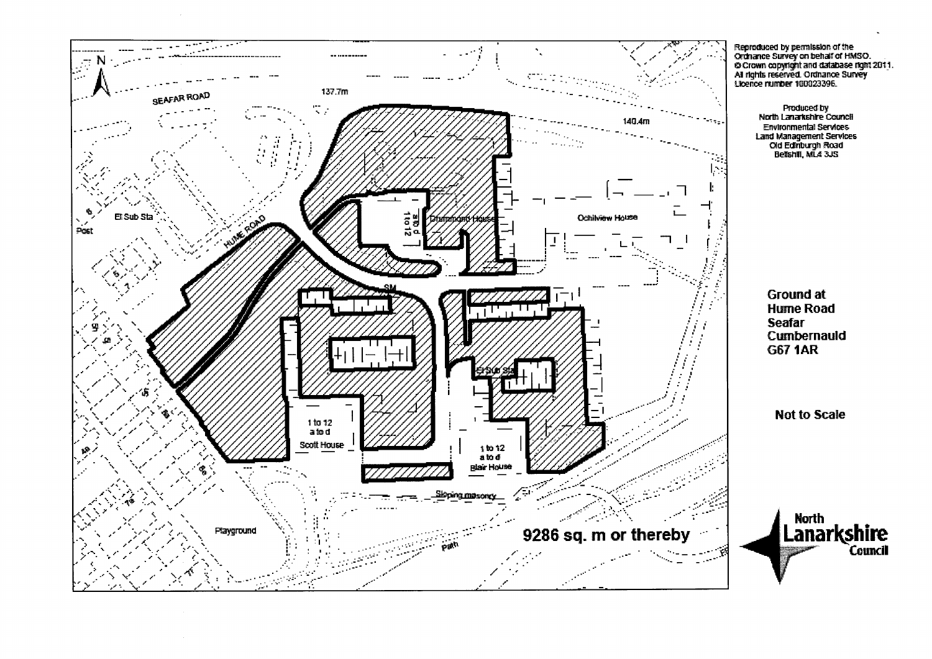